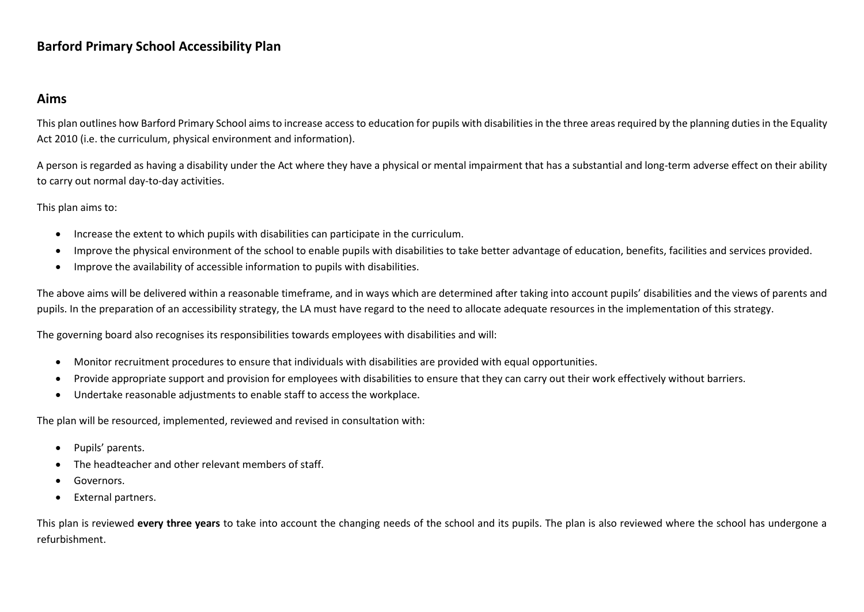### **Barford Primary School Accessibility Plan**

#### **Aims**

This plan outlines how Barford Primary School aims to increase access to education for pupils with disabilities in the three areas required by the planning duties in the Equality Act 2010 (i.e. the curriculum, physical environment and information).

A person is regarded as having a disability under the Act where they have a physical or mental impairment that has a substantial and long-term adverse effect on their ability to carry out normal day-to-day activities.

This plan aims to:

- Increase the extent to which pupils with disabilities can participate in the curriculum.
- Improve the physical environment of the school to enable pupils with disabilities to take better advantage of education, benefits, facilities and services provided.
- Improve the availability of accessible information to pupils with disabilities.

The above aims will be delivered within a reasonable timeframe, and in ways which are determined after taking into account pupils' disabilities and the views of parents and pupils. In the preparation of an accessibility strategy, the LA must have regard to the need to allocate adequate resources in the implementation of this strategy.

The governing board also recognises its responsibilities towards employees with disabilities and will:

- Monitor recruitment procedures to ensure that individuals with disabilities are provided with equal opportunities.
- Provide appropriate support and provision for employees with disabilities to ensure that they can carry out their work effectively without barriers.
- Undertake reasonable adjustments to enable staff to access the workplace.

The plan will be resourced, implemented, reviewed and revised in consultation with:

- Pupils' parents.
- The headteacher and other relevant members of staff.
- Governors.
- External partners.

This plan is reviewed **every three years** to take into account the changing needs of the school and its pupils. The plan is also reviewed where the school has undergone a refurbishment.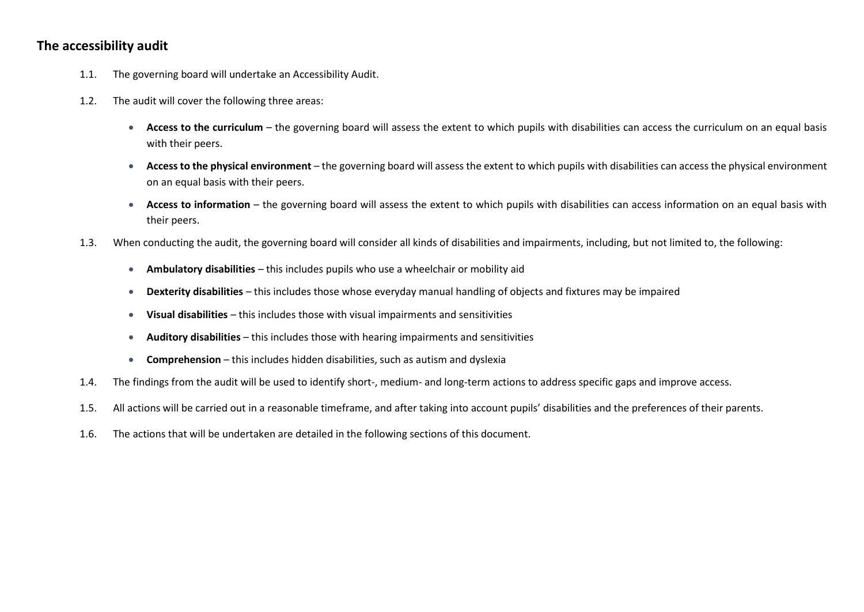#### **The accessibility audit**

- 1.1. The governing board will undertake an Accessibility Audit.
- 1.2. The audit will cover the following three areas:
	- **Access to the curriculum**  the governing board will assess the extent to which pupils with disabilities can access the curriculum on an equal basis with their peers.
	- **Access to the physical environment**  the governing board will assess the extent to which pupils with disabilities can access the physical environment on an equal basis with their peers.
	- **Access to information**  the governing board will assess the extent to which pupils with disabilities can access information on an equal basis with their peers.
- 1.3. When conducting the audit, the governing board will consider all kinds of disabilities and impairments, including, but not limited to, the following:
	- **Ambulatory disabilities**  this includes pupils who use a wheelchair or mobility aid
	- **Dexterity disabilities**  this includes those whose everyday manual handling of objects and fixtures may be impaired
	- **Visual disabilities**  this includes those with visual impairments and sensitivities
	- **Auditory disabilities**  this includes those with hearing impairments and sensitivities
	- **Comprehension** this includes hidden disabilities, such as autism and dyslexia
- 1.4. The findings from the audit will be used to identify short-, medium- and long-term actions to address specific gaps and improve access.
- 1.5. All actions will be carried out in a reasonable timeframe, and after taking into account pupils' disabilities and the preferences of their parents.
- 1.6. The actions that will be undertaken are detailed in the following sections of this document.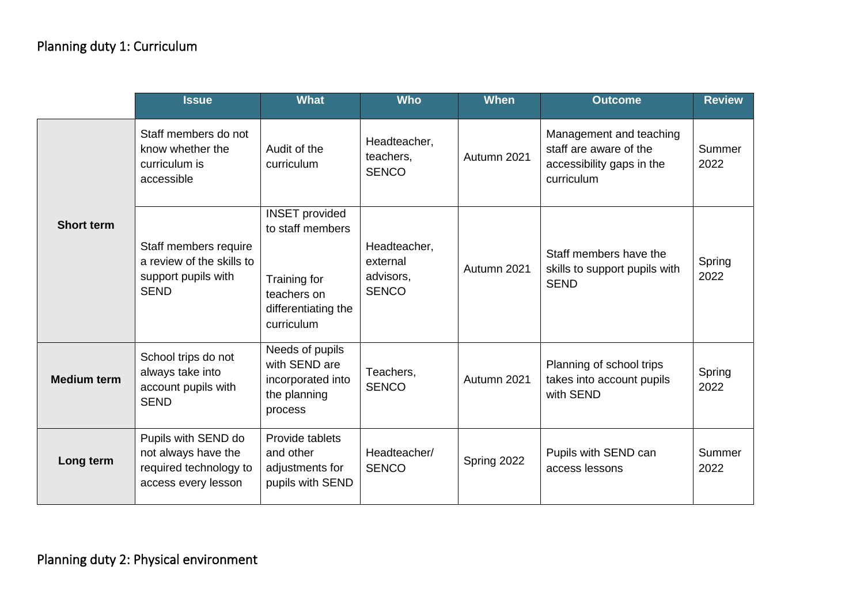# Planning duty 1: Curriculum

|                    | <b>Issue</b>                                                                                | <b>What</b>                                                                                                   | <b>Who</b>                                            | <b>When</b> | <b>Outcome</b>                                                                               | <b>Review</b>  |
|--------------------|---------------------------------------------------------------------------------------------|---------------------------------------------------------------------------------------------------------------|-------------------------------------------------------|-------------|----------------------------------------------------------------------------------------------|----------------|
| <b>Short term</b>  | Staff members do not<br>know whether the<br>curriculum is<br>accessible                     | Audit of the<br>curriculum                                                                                    | Headteacher,<br>teachers,<br><b>SENCO</b>             | Autumn 2021 | Management and teaching<br>staff are aware of the<br>accessibility gaps in the<br>curriculum | Summer<br>2022 |
|                    | Staff members require<br>a review of the skills to<br>support pupils with<br><b>SEND</b>    | <b>INSET</b> provided<br>to staff members<br>Training for<br>teachers on<br>differentiating the<br>curriculum | Headteacher,<br>external<br>advisors,<br><b>SENCO</b> | Autumn 2021 | Staff members have the<br>skills to support pupils with<br><b>SEND</b>                       | Spring<br>2022 |
| <b>Medium term</b> | School trips do not<br>always take into<br>account pupils with<br><b>SEND</b>               | Needs of pupils<br>with SEND are<br>incorporated into<br>the planning<br>process                              | Teachers,<br><b>SENCO</b>                             | Autumn 2021 | Planning of school trips<br>takes into account pupils<br>with SEND                           | Spring<br>2022 |
| Long term          | Pupils with SEND do<br>not always have the<br>required technology to<br>access every lesson | Provide tablets<br>and other<br>adjustments for<br>pupils with SEND                                           | Headteacher/<br><b>SENCO</b>                          | Spring 2022 | Pupils with SEND can<br>access lessons                                                       | Summer<br>2022 |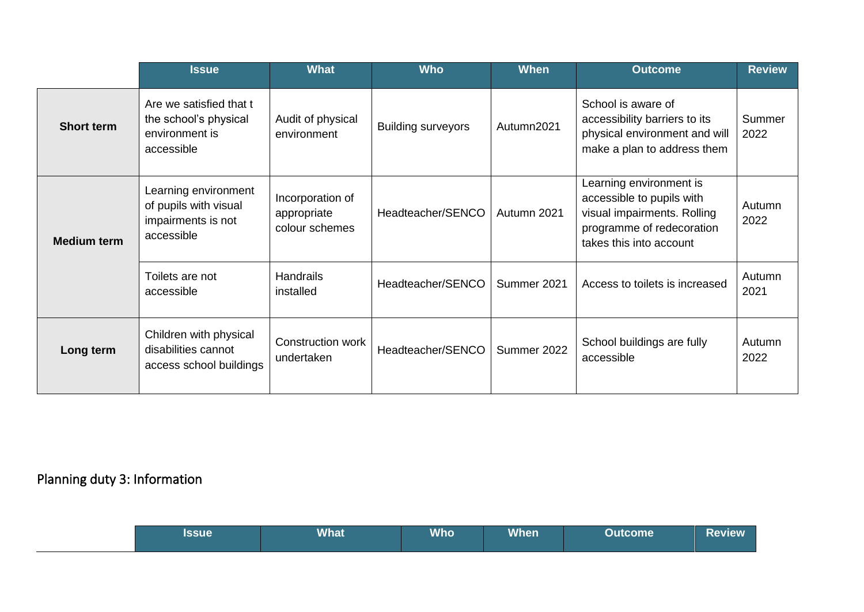|                    | <b>Issue</b>                                                                      | <b>What</b>                                       | <b>Who</b>                | <b>When</b> | <b>Outcome</b>                                                                                                                              | <b>Review</b>  |
|--------------------|-----------------------------------------------------------------------------------|---------------------------------------------------|---------------------------|-------------|---------------------------------------------------------------------------------------------------------------------------------------------|----------------|
| <b>Short term</b>  | Are we satisfied that t<br>the school's physical<br>environment is<br>accessible  | Audit of physical<br>environment                  | <b>Building surveyors</b> | Autumn2021  | School is aware of<br>accessibility barriers to its<br>physical environment and will<br>make a plan to address them                         | Summer<br>2022 |
| <b>Medium term</b> | Learning environment<br>of pupils with visual<br>impairments is not<br>accessible | Incorporation of<br>appropriate<br>colour schemes | Headteacher/SENCO         | Autumn 2021 | Learning environment is<br>accessible to pupils with<br>visual impairments. Rolling<br>programme of redecoration<br>takes this into account | Autumn<br>2022 |
|                    | Toilets are not<br>accessible                                                     | <b>Handrails</b><br>installed                     | Headteacher/SENCO         | Summer 2021 | Access to toilets is increased                                                                                                              | Autumn<br>2021 |
| Long term          | Children with physical<br>disabilities cannot<br>access school buildings          | Construction work<br>undertaken                   | Headteacher/SENCO         | Summer 2022 | School buildings are fully<br>accessible                                                                                                    | Autumn<br>2022 |

## Planning duty 3: Information

| <b>Issue</b> | <b>What</b> | <b>Who</b> | <b>When</b> | Outcome | Review |
|--------------|-------------|------------|-------------|---------|--------|
|--------------|-------------|------------|-------------|---------|--------|